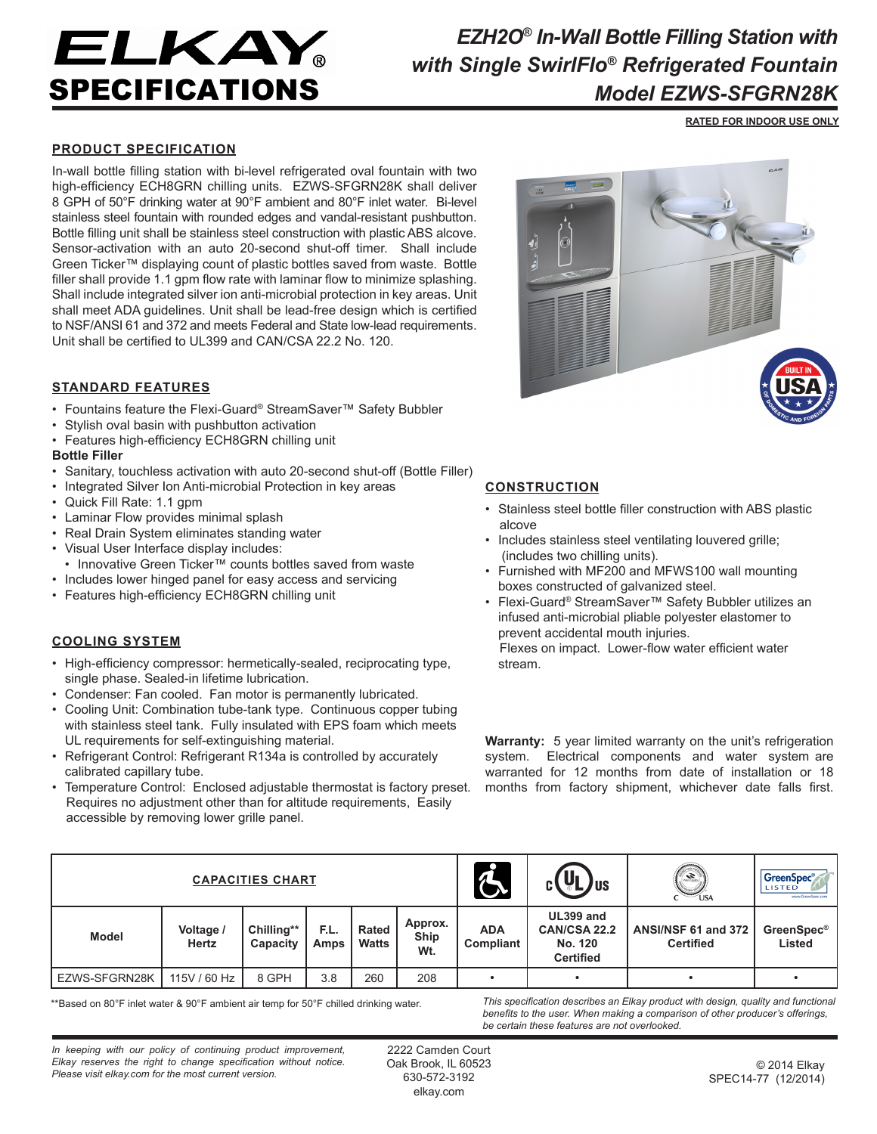# ELKAY SPECIFICATIONS

## *EZH2O® In-Wall Bottle Filling Station with with Single SwirlFlo® Refrigerated Fountain Model EZWS-SFGRN28K*

**RATED FOR INDOOR USE ONLY**

### **PRODUCT SPECIFICATION**

In-wall bottle filling station with bi-level refrigerated oval fountain with two high-efficiency ECH8GRN chilling units. EZWS-SFGRN28K shall deliver 8 GPH of 50°F drinking water at 90°F ambient and 80°F inlet water. Bi-level stainless steel fountain with rounded edges and vandal-resistant pushbutton. Bottle filling unit shall be stainless steel construction with plastic ABS alcove. Sensor-activation with an auto 20-second shut-off timer. Shall include Green Ticker™ displaying count of plastic bottles saved from waste. Bottle filler shall provide 1.1 gpm flow rate with laminar flow to minimize splashing. Shall include integrated silver ion anti-microbial protection in key areas. Unit shall meet ADA guidelines. Unit shall be lead-free design which is certified to NSF/ANSI 61 and 372 and meets Federal and State low-lead requirements. Unit shall be certified to UL399 and CAN/CSA 22.2 No. 120.

### **STANDARD FEATURES**

- Fountains feature the Flexi-Guard® StreamSaver™ Safety Bubbler
- Stylish oval basin with pushbutton activation
- Features high-efficiency ECH8GRN chilling unit

#### **Bottle Filler**

- Sanitary, touchless activation with auto 20-second shut-off (Bottle Filler)
- Integrated Silver Ion Anti-microbial Protection in key areas
- Quick Fill Rate: 1.1 gpm
- Laminar Flow provides minimal splash
- Real Drain System eliminates standing water
- Visual User Interface display includes:
- Innovative Green Ticker™ counts bottles saved from waste
- Includes lower hinged panel for easy access and servicing
- Features high-efficiency ECH8GRN chilling unit

#### **COOLING SYSTEM**

- High-efficiency compressor: hermetically-sealed, reciprocating type, single phase. Sealed-in lifetime lubrication.
- Condenser: Fan cooled. Fan motor is permanently lubricated.
- Cooling Unit: Combination tube-tank type. Continuous copper tubing with stainless steel tank. Fully insulated with EPS foam which meets UL requirements for self-extinguishing material.
- Refrigerant Control: Refrigerant R134a is controlled by accurately calibrated capillary tube.
- Temperature Control: Enclosed adjustable thermostat is factory preset. Requires no adjustment other than for altitude requirements, Easily accessible by removing lower grille panel.



#### **CONSTRUCTION**

- Stainless steel bottle filler construction with ABS plastic alcove
- Includes stainless steel ventilating louvered grille; (includes two chilling units).
- Furnished with MF200 and MFWS100 wall mounting boxes constructed of galvanized steel.
- Flexi-Guard® StreamSaver™ Safety Bubbler utilizes an infused anti-microbial pliable polyester elastomer to prevent accidental mouth injuries. Flexes on impact. Lower-flow water efficient water stream.

**Warranty:** 5 year limited warranty on the unit's refrigeration system. Electrical components and water system are warranted for 12 months from date of installation or 18 months from factory shipment, whichever date falls first.

| <b>CAPACITIES CHART</b> |                    |                        |              |                       |                        | $\mathcal{L}$           | UI<br><b>JUS</b>                                         | <b>Contract Contract Contract Contract Contract Contract Contract Contract Contract Contract Contract Contract C</b><br>$\bigcup_{\text{USA}}$ | GreenSpec®<br><b>LISTED</b><br>www.GreenSpec.com |
|-------------------------|--------------------|------------------------|--------------|-----------------------|------------------------|-------------------------|----------------------------------------------------------|------------------------------------------------------------------------------------------------------------------------------------------------|--------------------------------------------------|
| <b>Model</b>            | Voltage /<br>Hertz | Chilling**<br>Capacity | F.L.<br>Amps | Rated<br><b>Watts</b> | Approx.<br>Ship<br>Wt. | <b>ADA</b><br>Compliant | UL399 and<br>CAN/CSA 22.2<br>No. 120<br><b>Certified</b> | ANSI/NSF 61 and 372<br><b>Certified</b>                                                                                                        | <b>GreenSpec®</b><br>Listed                      |
| EZWS-SFGRN28K           | 115V / 60 Hz       | 8 GPH                  | 3.8          | 260                   | 208                    |                         |                                                          |                                                                                                                                                |                                                  |

\*\*Based on 80°F inlet water & 90°F ambient air temp for 50°F chilled drinking water.

*This specification describes an Elkay product with design, quality and functional benefits to the user. When making a comparison of other producer's offerings, be certain these features are not overlooked.*

*In keeping with our policy of continuing product improvement, Elkay reserves the right to change specification without notice. Please visit elkay.com for the most current version.*

2222 Camden Court Oak Brook, IL 60523 630-572-3192 elkay.com